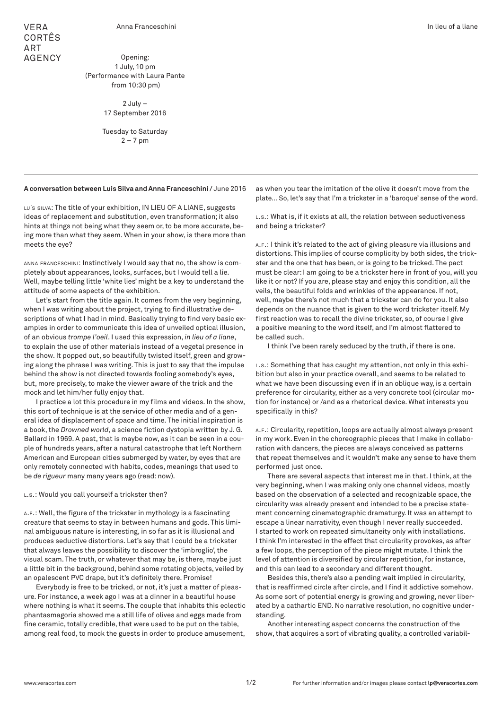Opening: 1 July, 10 pm (Performance with Laura Pante from 10:30 pm)

> 2 July – 17 September 2016

Tuesday to Saturday  $2 - 7$  pm

**A conversation between Luís Silva and Anna Franceschini /** June 2016

LUÍS SILVA: The title of your exhibition, IN LIEU OF A LIANE, suggests ideas of replacement and substitution, even transformation; it also hints at things not being what they seem or, to be more accurate, being more than what they seem. When in your show, is there more than meets the eye?

anna franceschini: Instinctively I would say that no, the show is completely about appearances, looks, surfaces, but I would tell a lie. Well, maybe telling little 'white lies' might be a key to understand the attitude of some aspects of the exhibition.

Let's start from the title again. It comes from the very beginning, when I was writing about the project, trying to find illustrative descriptions of what I had in mind. Basically trying to find very basic examples in order to communicate this idea of unveiled optical illusion, of an obvious *trompe l'oeil*. I used this expression, *in lieu of a liane*, to explain the use of other materials instead of a vegetal presence in the show. It popped out, so beautifully twisted itself, green and growing along the phrase I was writing. This is just to say that the impulse behind the show is not directed towards fooling somebody's eyes, but, more precisely, to make the viewer aware of the trick and the mock and let him/her fully enjoy that.

I practice a lot this procedure in my films and videos. In the show, this sort of technique is at the service of other media and of a general idea of displacement of space and time. The initial inspiration is a book, the *Drowned world*, a science fiction dystopia written by J. G. Ballard in 1969. A past, that is maybe now, as it can be seen in a couple of hundreds years, after a natural catastrophe that left Northern American and European cities submerged by water, by eyes that are only remotely connected with habits, codes, meanings that used to be *de rigueur* many many years ago (read: now).

L.s.: Would you call yourself a trickster then?

a.f.: Well, the figure of the trickster in mythology is a fascinating creature that seems to stay in between humans and gods. This liminal ambiguous nature is interesting, in so far as it is illusional and produces seductive distortions. Let's say that I could be a trickster that always leaves the possibility to discover the 'imbroglio', the visual scam. The truth, or whatever that may be, is there, maybe just a little bit in the background, behind some rotating objects, veiled by an opalescent PVC drape, but it's definitely there. Promise!

Everybody is free to be tricked, or not, it's just a matter of pleasure. For instance, a week ago I was at a dinner in a beautiful house where nothing is what it seems. The couple that inhabits this eclectic phantasmagoria showed me a still life of olives and eggs made from fine ceramic, totally credible, that were used to be put on the table, among real food, to mock the guests in order to produce amusement,

as when you tear the imitation of the olive it doesn't move from the plate… So, let's say that I'm a trickster in a 'baroque' sense of the word.

l.s.: What is, if it exists at all, the relation between seductiveness and being a trickster?

a.f.: I think it's related to the act of giving pleasure via illusions and distortions. This implies of course complicity by both sides, the trickster and the one that has been, or is going to be tricked. The pact must be clear: I am going to be a trickster here in front of you, will you like it or not? If you are, please stay and enjoy this condition, all the veils, the beautiful folds and wrinkles of the appearance. If not, well, maybe there's not much that a trickster can do for you. It also depends on the nuance that is given to the word trickster itself. My first reaction was to recall the divine trickster, so, of course I give a positive meaning to the word itself, and I'm almost flattered to be called such.

I think I've been rarely seduced by the truth, if there is one.

L.s.: Something that has caught my attention, not only in this exhibition but also in your practice overall, and seems to be related to what we have been discussing even if in an oblique way, is a certain preference for circularity, either as a very concrete tool (circular motion for instance) or /and as a rhetorical device. What interests you specifically in this?

a.f.: Circularity, repetition, loops are actually almost always present in my work. Even in the choreographic pieces that I make in collaboration with dancers, the pieces are always conceived as patterns that repeat themselves and it wouldn't make any sense to have them performed just once.

There are several aspects that interest me in that. I think, at the very beginning, when I was making only one channel videos, mostly based on the observation of a selected and recognizable space, the circularity was already present and intended to be a precise statement concerning cinematographic dramaturgy. It was an attempt to escape a linear narrativity, even though I never really succeeded. I started to work on repeated simultaneity only with installations. I think I'm interested in the effect that circularity provokes, as after a few loops, the perception of the piece might mutate. I think the level of attention is diversified by circular repetition, for instance, and this can lead to a secondary and different thought.

Besides this, there's also a pending wait implied in circularity, that is reaffirmed circle after circle, and I find it addictive somehow. As some sort of potential energy is growing and growing, never liberated by a cathartic END. No narrative resolution, no cognitive understanding.

Another interesting aspect concerns the construction of the show, that acquires a sort of vibrating quality, a controlled variabil-